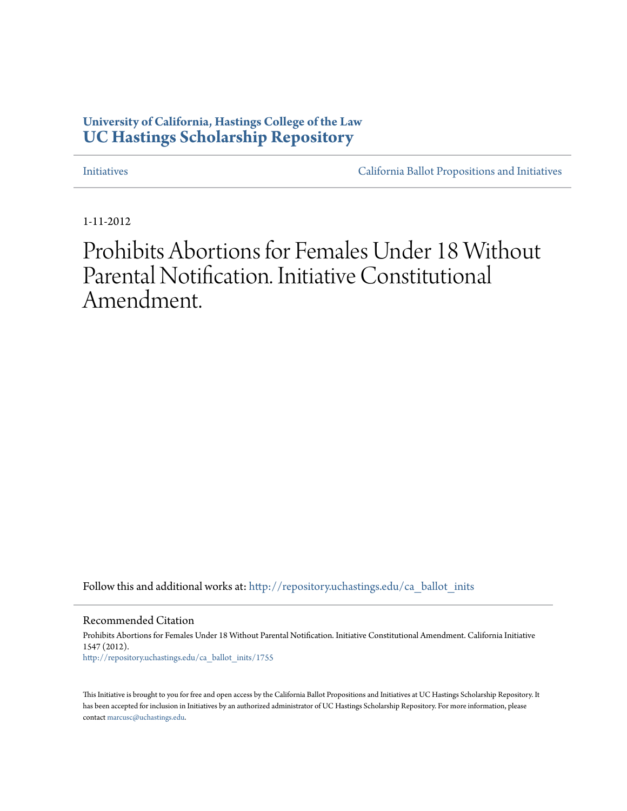### **University of California, Hastings College of the Law [UC Hastings Scholarship Repository](http://repository.uchastings.edu?utm_source=repository.uchastings.edu%2Fca_ballot_inits%2F1755&utm_medium=PDF&utm_campaign=PDFCoverPages)**

[Initiatives](http://repository.uchastings.edu/ca_ballot_inits?utm_source=repository.uchastings.edu%2Fca_ballot_inits%2F1755&utm_medium=PDF&utm_campaign=PDFCoverPages) [California Ballot Propositions and Initiatives](http://repository.uchastings.edu/ca_ballots?utm_source=repository.uchastings.edu%2Fca_ballot_inits%2F1755&utm_medium=PDF&utm_campaign=PDFCoverPages)

1-11-2012

# Prohibits Abortions for Females Under 18 Without Parental Notification. Initiative Constitutional Amendment.

Follow this and additional works at: [http://repository.uchastings.edu/ca\\_ballot\\_inits](http://repository.uchastings.edu/ca_ballot_inits?utm_source=repository.uchastings.edu%2Fca_ballot_inits%2F1755&utm_medium=PDF&utm_campaign=PDFCoverPages)

Recommended Citation

Prohibits Abortions for Females Under 18 Without Parental Notification. Initiative Constitutional Amendment. California Initiative 1547 (2012). [http://repository.uchastings.edu/ca\\_ballot\\_inits/1755](http://repository.uchastings.edu/ca_ballot_inits/1755?utm_source=repository.uchastings.edu%2Fca_ballot_inits%2F1755&utm_medium=PDF&utm_campaign=PDFCoverPages)

This Initiative is brought to you for free and open access by the California Ballot Propositions and Initiatives at UC Hastings Scholarship Repository. It has been accepted for inclusion in Initiatives by an authorized administrator of UC Hastings Scholarship Repository. For more information, please contact [marcusc@uchastings.edu](mailto:marcusc@uchastings.edu).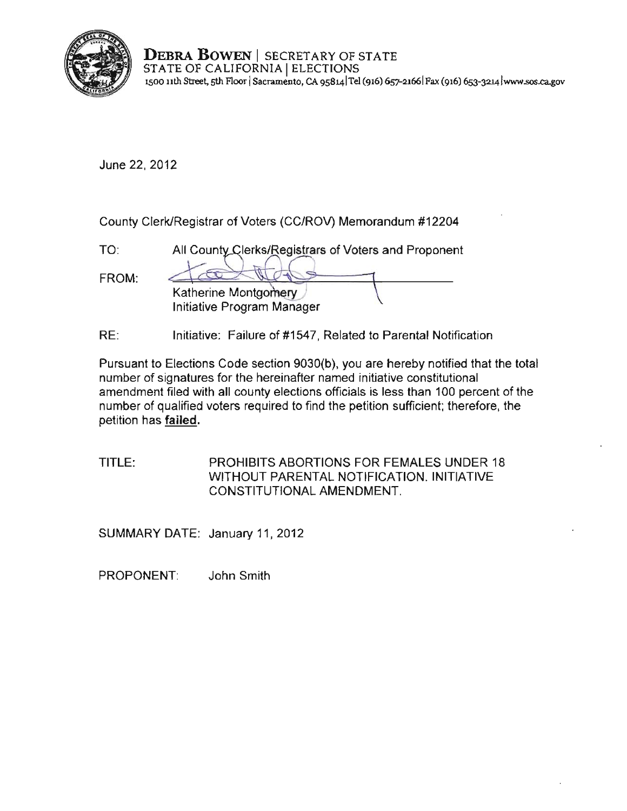

**DEBRA BOWEN** | SECRETARY OF STATE STATE OF CALIFORNIA | ELECTIONS **1500 11th Street, sth Aoor ISacramento, CA 9sB14 1Tel (916) 657-2166 1 Fax (916) 6s3-3214 [lwww.sos.cagov](www.sos.ca.gov)** 

June 22, 2012

County Clerk/Registrar of Voters (CC/ROV) Memorandum #12204

| $TO^{\cdot}$ | All County Clerks/Registrars of Voters and Proponent |
|--------------|------------------------------------------------------|
| FROM:        | Katherine Montgomery                                 |
|              | <b>Initiative Program Manager</b>                    |

RE: Initiative: Failure of #1547, Related to Parental Notification

Pursuant to Elections Code section 9030(b), you are hereby notified that the total **number of signatures for the hereinafter named initiative constitutional**  amendment filed with all county elections officials is less than 100 percent of the number of qualified *voters* required to find the petition sufficient; therefore, the petition has failed.

TITLE: PROHIBITS ABORTIONS FOR FEMALES UNDER 18 WITHOUT PARENTAL NOTIFICATION. INITIATIVE CONSTITUTIONAL AMENDMENT.

SUMMARY DATE: January 11, 2012

PROPONENT: John Smith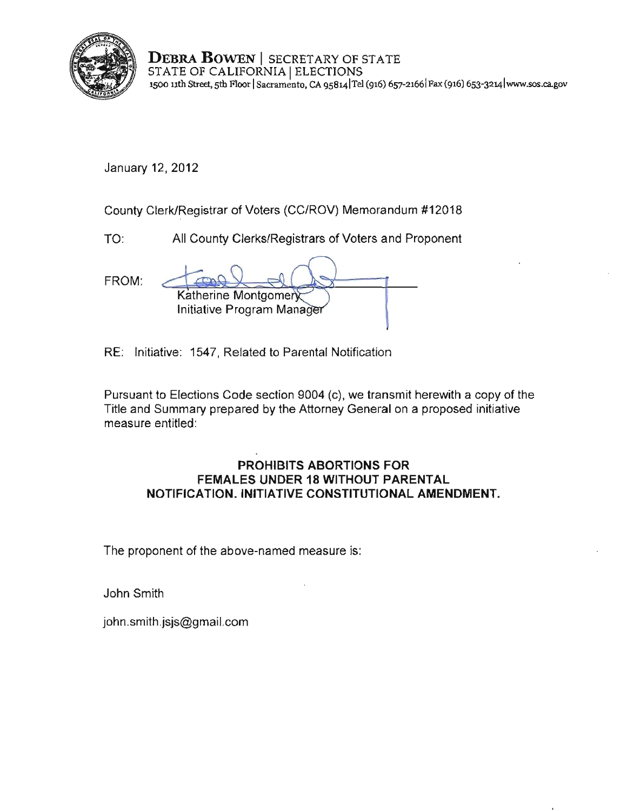

**DEBRA BOWEN** I SECRETARY OF STATE STATE OF CALIFORNIA | ELECTIONS **1500 nth Street, sth Ftoor ISacramento, CA 9s8141Tei (916) 657-21661 Fax (916) 653-3214lwww.sos.ca.gov** 

January 12, 2012

County Clerk/Registrar of Voters (CC/ROV) Memorandum #12018

TO: All County Clerks/Registrars of Voters and Proponent

| FROM: |                            |  |
|-------|----------------------------|--|
|       | Katherine Montgomery       |  |
|       | Initiative Program Manager |  |
|       |                            |  |

RE: Initiative: 1547, Related to Parental Notification

Pursuant to Elections Code section 9004 (c), we transmit herewith a copy of the Title and Summary prepared by the Attorney General on a proposed initiative measure entitled:

#### **PROHIBITS ABORTIONS FOR FEMALES UNDER 18 WITHOUT PARENTAL NOTIFICATION. INITIATIVE CONSTITUTIONAL AMENDMENT.**

The proponent of the above-named measure is:

John Smith

john.smith.jsjs@gmail.com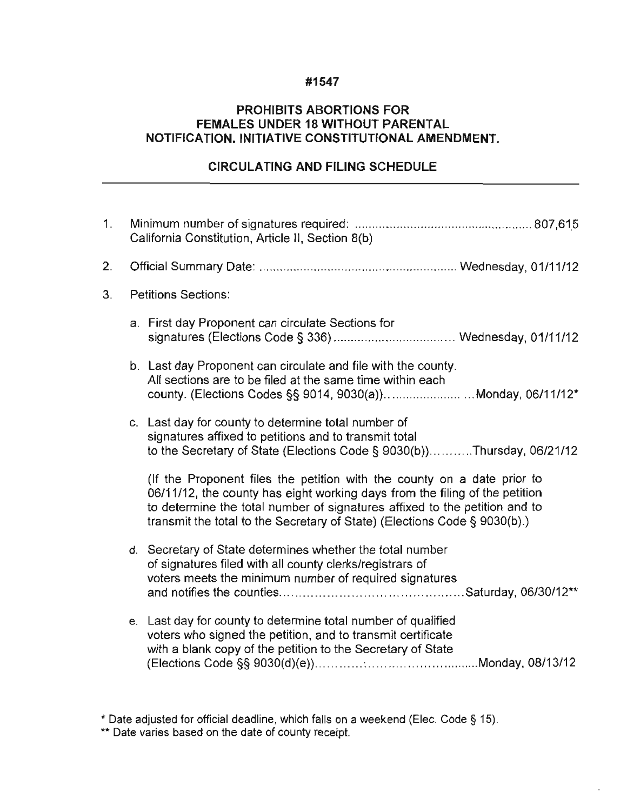#### **#1547**

#### **PROHIBITS ABORTIONS FOR FEMALES UNDER 18 WITHOUT PARENTAL NOTIFICATION. INITIATIVE CONSTITUTIONAL AMENDMENT.**

#### **CIRCULATING AND FILING SCHEDULE**

| 1. | California Constitution, Article II, Section 8(b) |                                                                                                                                                                                                                                                                                                                   |
|----|---------------------------------------------------|-------------------------------------------------------------------------------------------------------------------------------------------------------------------------------------------------------------------------------------------------------------------------------------------------------------------|
| 2. |                                                   |                                                                                                                                                                                                                                                                                                                   |
| 3. | <b>Petitions Sections:</b>                        |                                                                                                                                                                                                                                                                                                                   |
|    |                                                   | a. First day Proponent can circulate Sections for                                                                                                                                                                                                                                                                 |
|    |                                                   | b. Last day Proponent can circulate and file with the county.<br>All sections are to be filed at the same time within each<br>county. (Elections Codes §§ 9014, 9030(a))Monday, 06/11/12*                                                                                                                         |
|    |                                                   | c. Last day for county to determine total number of<br>signatures affixed to petitions and to transmit total<br>to the Secretary of State (Elections Code § 9030(b))Thursday, 06/21/12                                                                                                                            |
|    |                                                   | (If the Proponent files the petition with the county on a date prior to<br>06/11/12, the county has eight working days from the filing of the petition<br>to determine the total number of signatures affixed to the petition and to<br>transmit the total to the Secretary of State) (Elections Code § 9030(b).) |
|    |                                                   | d. Secretary of State determines whether the total number<br>of signatures filed with all county clerks/registrars of<br>voters meets the minimum number of required signatures                                                                                                                                   |
|    |                                                   | e. Last day for county to determine total number of qualified<br>voters who signed the petition, and to transmit certificate<br>with a blank copy of the petition to the Secretary of State                                                                                                                       |

" Date adjusted for official deadline, whieh falls on a weekend (Elee. Code § 15).

**\*\* Date varies based on the date of county receipt.**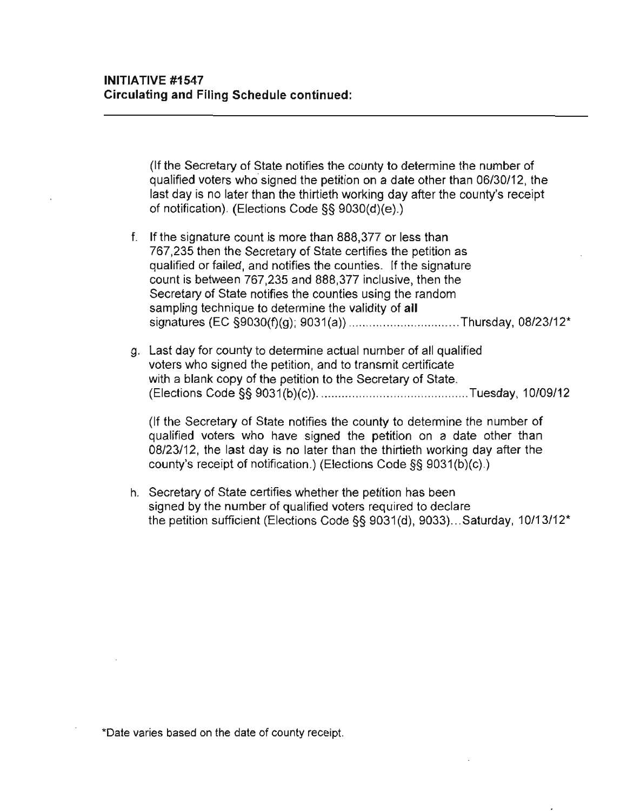(If the Secretary of State notifies the county to determine the number of qualified voters who signed the petition on a date other than 06/30/12, the last day is no later than the thirtieth working day after the county's receipt of notification). (Elections Code §§ 9030(d)(e).)

- f. If the signature count is more than 888,377 or less than 767,235 then the Secretary of State certifies the petition as qualified or failed, and notifies the counties. If the signature count is between 767,235 and 888,377 inclusive, then the Secretary of State notifies the counties using the random sampling technique to determine the validity of **all**  signatures (EC §9030(f)(g); 9031 (a)) ................................ Thursday, 08/23/12"
- g. Last day for county to determine actual number of all qualified voters who signed the petition, and to transmit certificate with a blank copy of the petition to the Secretary of State. (Elections Code §§ 9031 (b)(c)). ....................... . ............. Tuesday, 10109/12

(If the Secretary of State notifies the county to determine the number of qualified voters who have signed the petition on a date other than 08/23/12, the last day is no later than the thirtieth working day after the county's receipt of notification.) (Elections Code §§ 9031 (b)(c).)

h. Secretary of State certifies whether the petition has been signed by the number of qualified voters required to declare the petition sufficient (Elections Code §§ 9031 (d), 9033) .. . Saturday, 10/13/12"

**\*Oate varies based on the date of county receipt.**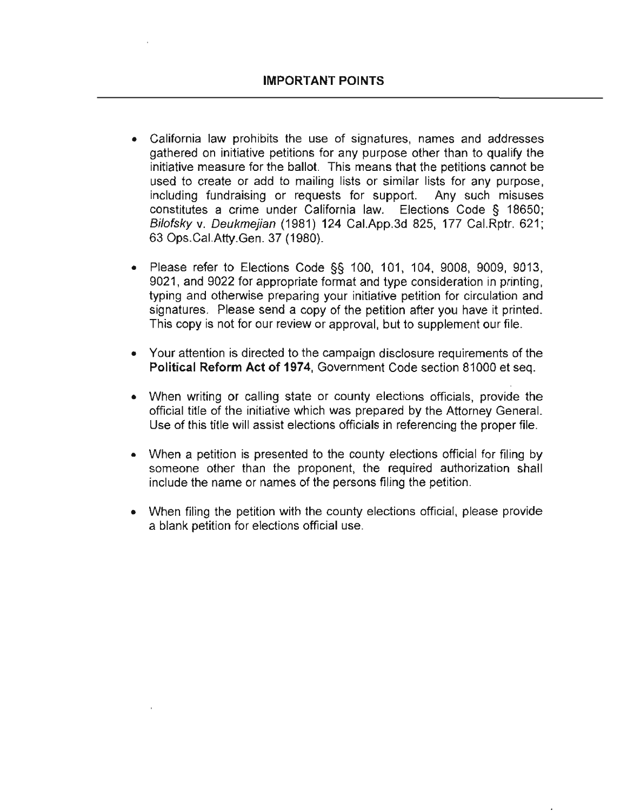- **California law prohibits the use of signatures, names and addresses**  gathered on initiative petitions for any purpose other than to qualify the **initiative measure for the ballot. This means that the petitions cannot be**  used to create or add to mailing lists or similar lists for any purpose, including fundraising or requests for support. Any such misuses constitutes a crime under California law. Elections Code § 18650; Bilofsky v. Oeukmejian (1981) 124 Cal.App.3d 825, 177 Cal.Rptr. 621; 63 Ops.CaI.Atty.Gen. 37 (1980).
- Please refer to Elections Code  $\S$ § 100, 101, 104, 9008, 9009, 9013, 9021, and 9022 for appropriate format and type consideration in printing, typing and otherwise preparing your initiative petition for circulation and signatures. Please send a copy of the petition after you have it printed. This copy is not for our review or approval, but to supplement our file.
- **Your attention is directed to the campaign disclosure requirements of the**  Political Reform Act of 1974, Government Code section 81000 et seq.
- When writing or calling state or county elections officials, provide the official title of the initiative which was prepared by the Attorney General. Use of this title will assist elections officials in referencing the proper file.
- When a petition is presented to the county elections official for filing by someone other than the proponent, the required authorization shall include the name or names of the persons filing the petition.
- When filing the petition with the county elections official, please provide a blank petition for elections official use.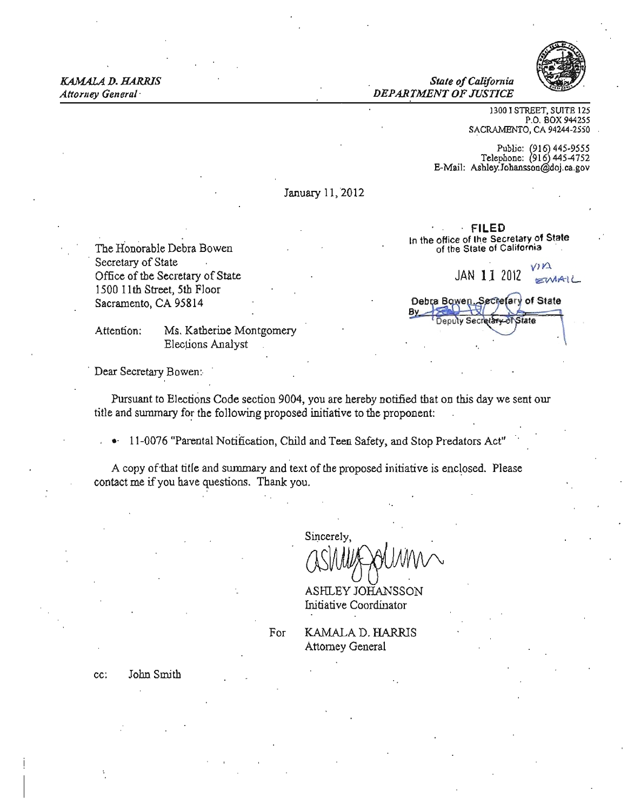**Attorney General** 

KAMAL4 D. HARRIS *State ofCalifornia*  **DEPARTMENT OF JUSTICE** 



1300 I STREET, SUITE 125 P.O. BOX 944255 SACRAMENTO, CA 94244·2550

of State

**ANState** 

Public: (916) 445-9555<br>Telephone: (916) 445-4752 E-Mail: Ashley.Johansson@doj.ca.gov

FILED In the office of the Secretary of State<br>of the State of California

January 11,2012

The Honorable Debra Bowen Secretary of State<br>
Office of the Secretary of State<br>  $JAN$  11 2012 Office of the Secretary of State JAN 11 2012  $\frac{1}{2}$   $\frac{1}{2}$ 1500 11th Street, 5th Floor Sacramento, CA 95814

Attention: Ms. Katherine Montgomery Elections Analyst

Debra Bowen, Secretary **Deputy Secre** 

. Dear Secretary Bowen:

Pursuant to Elections Code section 9004, you are hereby notified that on this day we sent our title and summary for the following proposed initiative to the proponent:

11-0076 "Parental Notification, Child and Teen Safety, and Stop Predators Act'

A copy of that title and summary and text of the proposed initiative is enclosed. Please contact me ifyou have questions. Thank you.

Sincerely,

ASHLEY JOHANSSON Initiative Coordinator

cc: John Smith

For **KAMALA D. HARRIS** Attorney General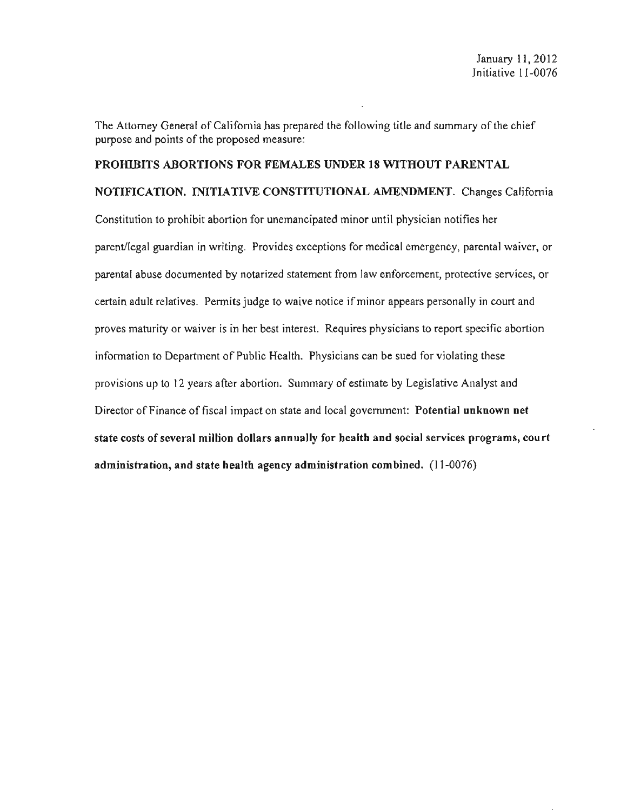The Attorney General of California has prepared the following title and summary of the chief purpose and points of the proposed measure:

## PROHIBITS ABORTIONS FOR FEMALES UNDER 18 WITHOUT PARENTAL NOTIFICATION. INITIATIVE CONSTITUTIONAL AMENDMENT. Changes California

Constitution to prohibit abortion for unemancipated minor until physician notifies her parent/legal guardian in writing. Provides exceptions for medical emergency, parental waiver, or parental abuse documented by notarized statement from law enforcement, protective services, or certain adult relatives. Permits judge to waive notice if minor appears personally in court and proves maturity or waiver is in her best interest. Requires physicians to report specific abortion information to Department of Public Health. Physicians can be sued for violating these provisions up to 12 years after abortion. Summary of estimate by Legislative Analyst and Director of Finance of fiscal impact on state and local government: Potential unknown net state costs of several million dollars annually for health and social services programs, court administration, and state health agency administration combined. (11-0076)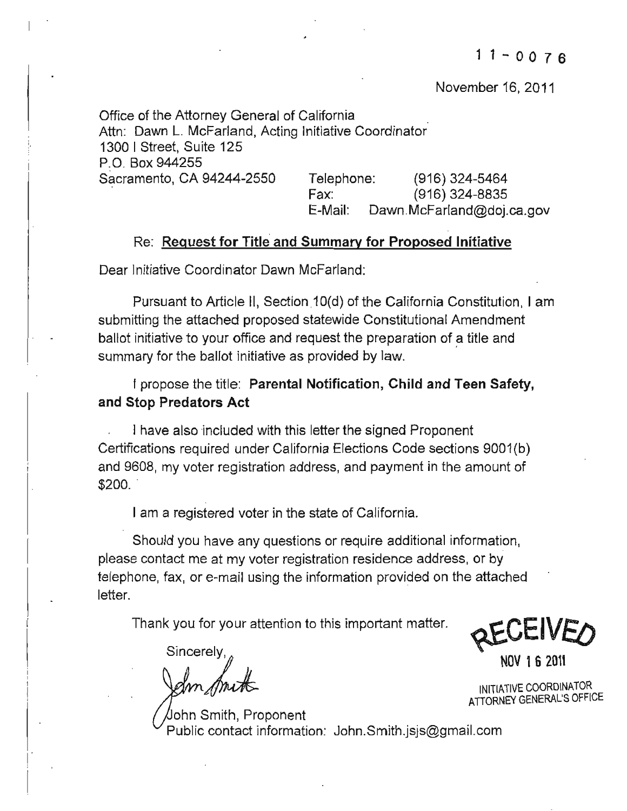November 16, 2011

Office of the Attorney General of California Attn: Dawn L. McFarland, Acting Initiative Coordinator 1300 I Street, Suite 125 P.O. Box 944255 Sacramento, CA 94244-2550 Telephone: (916) 324-5464 Fax: (916) 324-8835 E-Mail: [Dawn.McFarland@doj.ca.gov](mailto:Dawn.McFarland@doj.ca.gov) 

#### Re: Request for Title and Summary for Proposed Initiative

Dear Initiative Coordinator Dawn McFarland:

Pursuant to Article II, Section 10(d) of the California Constitution, I am submitting the attached proposed statewide Constitutional Amendment ballot initiative to your office and request the preparation of a title and summary for the ballot initiative as provided by law.

I propose the title: Parental Notification, Child and Teen Safety, and Stop Predators Act

I have also included with this letter the signed Proponent Certifications required under California Elections Code sections 9001(b) and 9608, my voter registration address, and payment in the amount of  $$200.$ 

I am a registered voter in the state of California.

Should you have any questions or require additional information, please contact me at my voter registration residence address, or by telephone, fax, or e-mail using the information provided on the attached letter.

Thank you for your attention to this important matter.

 $\frac{1}{2}$  NOV 162011

\* 16 2011<br>MOV 16 2011<br>Dohn Smith, Proponent<br>Public contact information: John.Smith.jsjs@gmail.com ohn Smith, Proponent

REVEIVED

ATIORNEY GENERAL'S OFFICE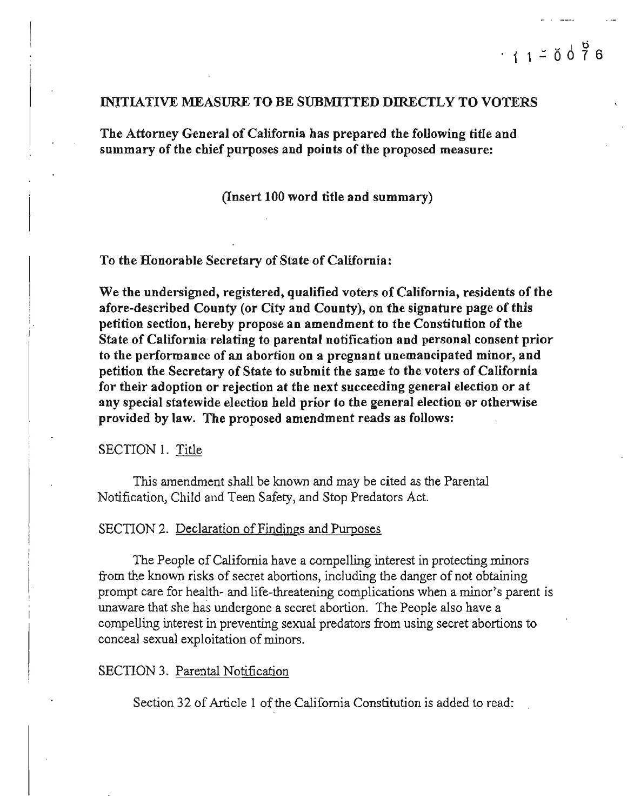#### INJTIATIVE MEASURE TO BE SUBMITTED DIRECTLY TO VOTERS

The Attorney General of California has prepared the following title and summary of the chief purposes and points of the proposed measure:

#### (Insert 100 word title and summary)

#### To the Honorable Secretary of State of California:

We the undersigned, registered, qualified voters of California, residents of the afore-described County (or City and County), on the signature page of this petition section, hereby propose an amendment to the Constitution of the State of California' relating to parental notification and personal consent prior **to the performance of an abortion on a pregnant unemancipated minor, and**  petition the Secretary of State to submit the same to the voters of California for their adoption or rejection at the next succeeding general election or at any special statewide election held prior to the general election or otherwise provided by law. The proposed amendment reads as follows:

#### SECTION 1. Title

This amendment shall be known and may be cited as the Parental Notification, Child and Teen Safety, and Stop Predators Act.

#### SECTION 2. Declaration of Findings and Purposes

The People of California have a compelling interest in protecting minors from the known risks of secret abortions, including the danger of not obtaining prompt care for health- and life-threatening complications when a minor's parent is unaware that she has undergone a secret abortion. The People also have a compelling interest in preventing sexual predators from using secret abortions to conceal sexual exploitation of minors.

#### SECTION 3. Parental Notification

Section 32 of Article 1 of the California Constitution is added to read: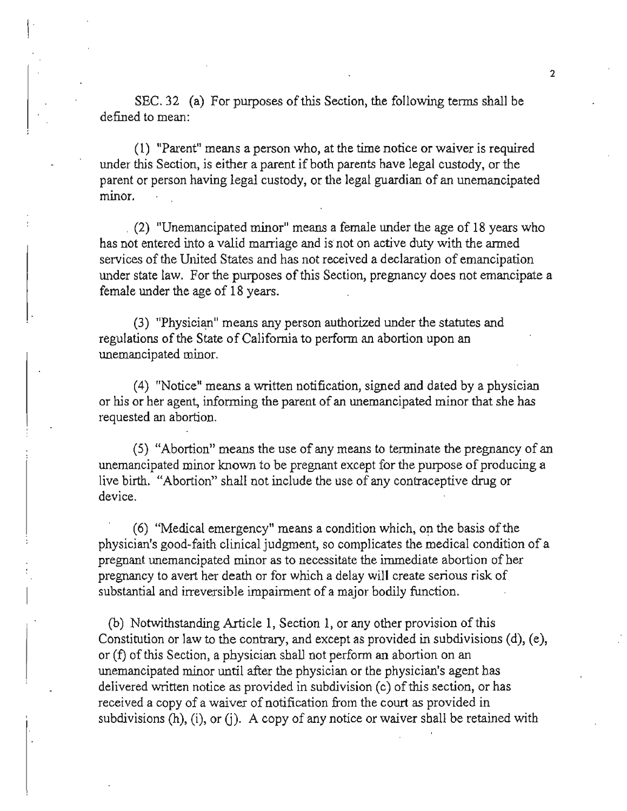SEC. 32 (a) For purposes of this Section, the following terms shall be defined to mean:

**(1) "Parent" means a person who, at the time notice or waiver is required**  under this Section, is either a parent if both parents have legal custody, or the parent or person having legal custody, or the legal guardian of an unemancipated **minor.** 

. (2) "Unemancipated minor" means a female under the age of 18 years who has not entered into a valid marriage and is not on active duty with the armed services of the United States and has not received a declaration of emancipation under state law. For the purposes of this Section, pregnancy does not emancipate a female under the age of 18 years.

(3) "Physician" means any person authorized under the statutes and regulations of the State of California to perform an abortion upon an **unemancipated minor.** 

(4) "Notice" means a written notification, signed and dated by a physician or his or her agent, informing the parent of an unemancipated minor that she has requested an abortion.

(5) "Abortion" means the use of any means to terminate the pregnancy of an unemancipated minor known to be pregnant except for the purpose of producing a live birth. "Abortion" shall not include the use of any contraceptive drug or **device.** 

(6) "Medical emergency" means a condition which, on the basis ofthe physician's good-faith clinical judgment, so complicates the medical condition of a pregnant unemancipated minor as to necessitate the immediate abortion of her pregnancy to avert her death or for which a delay will create serious risk of substantial and irreversible impairment of a major bodily function.

(b) Notwithstanding Article 1, Section 1, or any other provision of this Constitution or law to the contrary, and except as provided in subdivisions (d), (e), or (f) of this Section, a physician shall not perform an abortion on an unemancipated minor until after the physician or the physician's agent has delivered written notice as provided in subdivision (c) ofthis section, or has received a copy of a waiver of notification from the court as provided in subdivisions  $(h)$ ,  $(i)$ , or  $(j)$ . A copy of any notice or waiver shall be retained with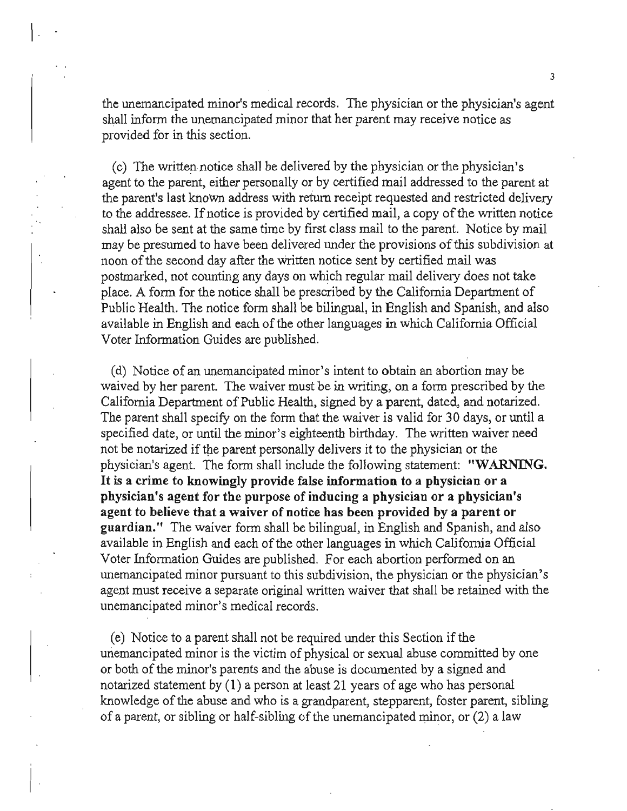the unemancipated minor's medical records. The physician or the physician's agent shall inform the unemancipated minor that her parent may receive notice as provided for in this section.

 $\vert \cdot \vert$ 

(c) The written notice shall be delivered by the physician or the physician's agent to the parent, either personally or by certified mail addressed to the parent at the parent's last knoWn address with return receipt requested and restricted delivery to the addressee. If notice is provided by certified mail, a copy of the written notice shall also be sent at the same time by first class mail to the parent. Notice by mail may be presumed to have been delivered under the provisions ofthis subdivision at noon ofthe second day after the written notice sent by certified mail was postmarked, not counting any days on which regular mail delivery does not take place. A form for the notice shall be prescribed by the California Department of Public Health. The notice form shall be bilingual, in English and Spanish, and also available in English and each of the other languages in which California Official Voter Information Guides are published.

(d) Notice of an unemancipated minor's intent to obtain an abortion may be waived by her parent. The waiver must be in writing, on a form prescribed by the California Department of Public Health, signed by a parent, dated, and notarized. The parent shall specify on the form that the waiver is valid for 30 days, or until a specified date, or until the minor's eighteenth birthday. The written waiver need not be notarized if the parent personally delivers it to the physician or the physician's agent. The form shall include the following statement: "WARNING. **It is a crime to knowingly provide false information to a physician or a**  physician's agent for the purpose of inducing a physician or a physician's **agent to believe that a waiver of notice has been provided by a parent or**  guardian." The waiver form shall be bilingual, in English and Spanish, and also available in English and each of the other languages in which California Official Voter Information Guides are published. For each abortion performed on an unemancipated minor pursuant to this subdivision, the physician or the physician's agent must receive a separate original written waiver that shall be retained with the **unemancipated minor's medical records.** 

(e) Notice to a parent shall not be required under this Section if the unemancipated minor is the victim of physical or sexual abuse committed by one or both of the minor's parents and the abuse is documented by a signed and notarized statement by (I) a person at least 21 years of age who has personal knowledge of the abuse and who is a grandparent, stepparent, foster parent, sibling of a parent, or sibling or half-sibling of the unemancipated minor, or  $(2)$  a law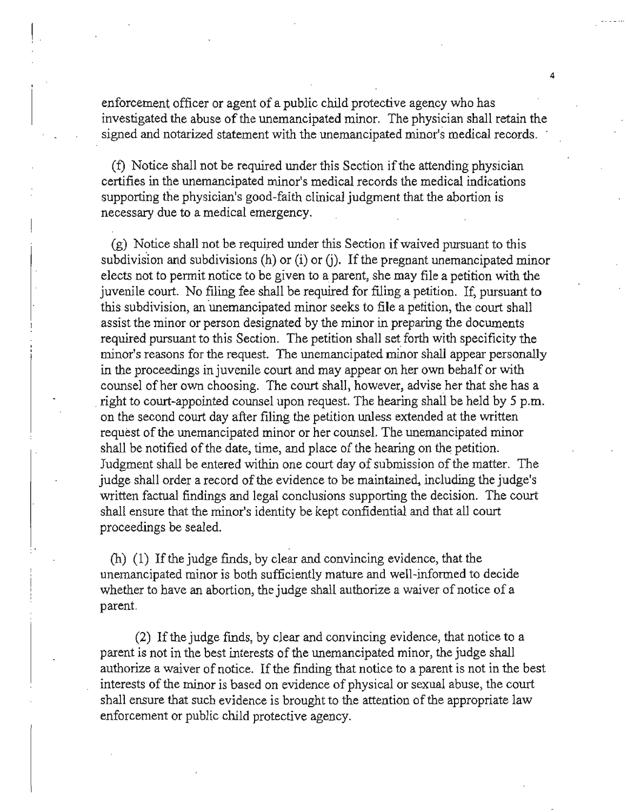enforcement officer or agent of a public child protective agency who has investigated the abuse of the unemancipated minor. The physician shall retain the **signed and notarized statement with the unemancipated minor's medical records.** 

4

! .

 $(f)$  Notice shall not be required under this Section if the attending physician certifies in the unemancipated minor's medical records the medical indications supporting the physician's good-faith clinical judgment that the abortion is necessary due to a medical emergency.

 $(g)$  Notice shall not be required under this Section if waived pursuant to this subdivision and subdivisions (h) or (i) or (j). If the pregnant unemancipated minor elects not to permit notice to be given to a parent, she may file a petition with the juvenile court. No filing fee shall be required for filing a petition. If, pursuant to this subdivision, an unemancipated minor seeks to file a petition, the court shall assist the minor or person designated by the minor in preparing the documents required pursuant to this Section. The petition shall set forth with specificity the **minor's reasons for the request. The unemancipated minor shall appear personally**  in the proceedings in juvenile court and may appear on her own behalf or with counsel of her own choosing. The court shall, however, advise her that she has a right to court-appointed counsel upon request. The hearing shall be held by 5 p.m. on the second court day after filing the petition unless extended at the written request of the unemancipated minor or her counsel. The unemancipated minor shall be notified of the date, time, and place of the hearing on the petition. Judgment shall be entered within one court day of submission of the matter. The judge shall order a record of the evidence to be maintained, including the judge's written factual findings and legal conclusions supporting the decision. The court shall ensure that the minor's identity be kept confidential and that all court proceedings be sealed.

(h) (1) If the judge finds, by clear and convincing evidence, that the unemancipated minor is both sufficiently mature and well-informed to decide whether to have an abortion, the judge shall authorize a waiver of notice of a parent.

(2) Ifthe judge fmds, by clear and convincing evidence, that notice to a parent is not in the best interests of the unemancipated minor, the judge shall authorize a waiver of notice. If the finding that notice to a parent is not in the best interests of the minor is based on evidence of physical or sexual abuse, the court shall ensure that such evidence is brought to the attention of the appropriate law enforcement or public child protective agency.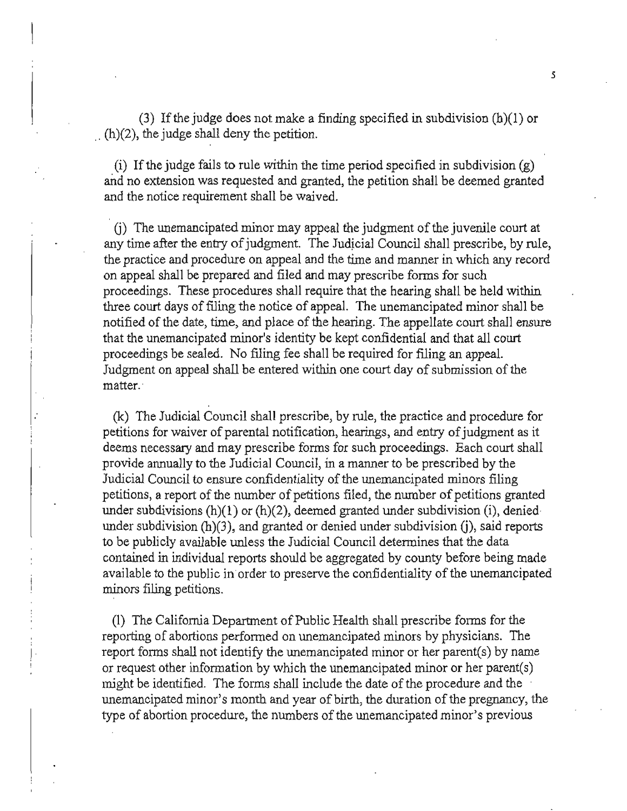(3) If the judge does not make a finding specified in subdivision  $(h)(1)$  or  $(h)(2)$ , the judge shall deny the petition.

(i) If the judge fails to rule within the time period specified in subdivision  $(g)$ and no extension was requested and granted, the petition shall be deemed granted and the notice requirement shall be waived.

(i) The unemancipated minor may appeal the judgment of the juvenile court at any time after the entry of judgment. The Judicial Council shall prescribe, by rule, the practice and procedure on appeal and the time and manner in which any record on appeal shall be prepared and filed and may prescribe forms for such proceedings. These procedures shall require that the hearing shall be held within three court days of filing the notice of appeal. The unemancipated minor shall be notified of the date, time, and place of the hearing. The appellate court shall ensure that the unemancipated minor's identity be kept confidential and that all court proceedings be sealed. No filing fee shall be required for filing an appeal. Judgment on appeal shall be entered within one court day of submission of the **matter..** 

(k) The Judicial Council shall prescribe, by rule, the practice and procedure for petitions for waiver of parental notification, hearings, and entry of judgment as it deems necessary and may prescribe forms for such proceedings. Each court shall provide annually to the Judicial Council, in a manner to be prescribed by the Judicial Council to ensure confidentiality of the unemancipated minors filing petitions, a report of the number of petitions filed, the number of petitions granted under subdivisions  $(h)(1)$  or  $(h)(2)$ , deemed granted under subdivision (i), denied under subdivision  $(h)(3)$ , and granted or denied under subdivision  $(i)$ , said reports to be publicly available unless the Judicial Council determines that the data contained in individual reports should be aggregated by county before being made available to the public in order to preserve the confidentiality of the unemancipated minors filing petitions.

(1) The California Department of Public Health shall prescribe forms for the reporting of abortions performed on unemancipated minors by physicians. The report forms shall not identify the unemancipated minor or her parent(s) by name or request other information by which the unemancipated minor or her parent(s) might be identified. The forms shall include the date of the procedure and the unemancipated minor's month and year of birth, the duration of the pregnancy, the type of abortion procedure, the numbers of the unemancipated minor's previous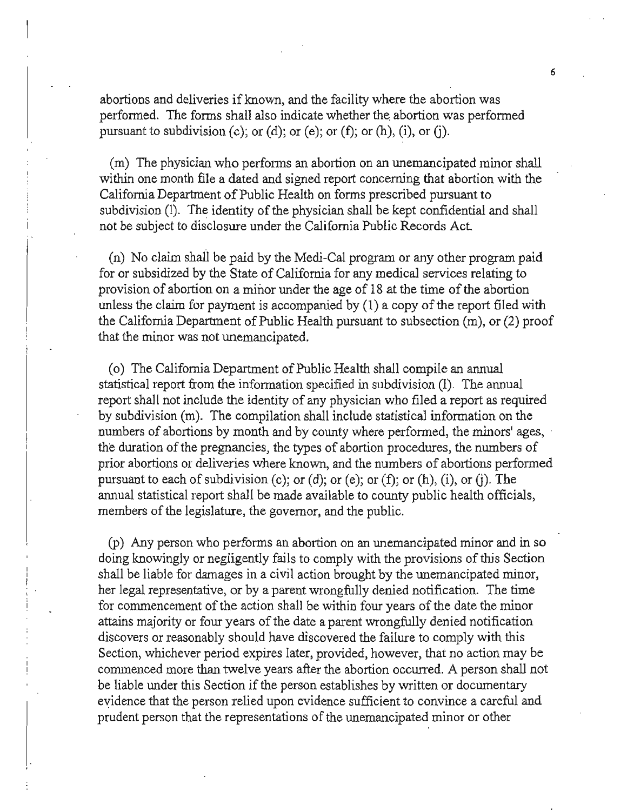abortions and deliveries if known, and the facility where the abortion was performed. The forms shall also indicate whether the abortion was performed pursuant to subdivision (c); or (d); or (e); or (f); or (h), (i), or (j).

(m) The physician who performs an abortion on an unemancipated minor shall within one month file a dated and signed report concerning that abortion with the California Department of Public Health on forms prescribed pursuant to subdivision (1). The identity of the physician shall be kept confidential and shall not be subject to disclosure under the California Public Records Act.

(n) No claim shal'l be paid by the Medi-Cal program or any other program paid for or subsidized by the State of California for any medical services relating to provision of abortion on a minor under the age of 18 at the time of the abortion unless the claim for payment is accompanied by  $(1)$  a copy of the report filed with the California Department of Public Health pursuant to subsection  $(m)$ , or  $(2)$  proof that the minor was not unemancipated.

(o) The California Department of Public Health shall compile an annual statistical report from the infonnation specified in subdivision (I). The annual report shall not include the identity of any physician who filed a report as required by subdivision (m). The compilation shall include statistical information on the numbers of abortions by month and by county where performed, the minors' ages, the duration of the pregnancies, the types of abortion procedures, the numbers of prior abortions or deliveries where lmown, and the numbers of abortions performed pursuant to each of subdivision (c); or (d); or (e); or (f); or (h), (i), or (j). The annual statistical report shall be made available to county public health officials, members of the legislature, the governor, and the public.

(p) Any person who performs an abortion on an unemancipated minor and in so doing knowingly or negligently fails to comply with the provisions ofthis Section shall be liable for damages in a civil action brought by the unemancipated minor, her legal representative, or by a parent wrongfully denied notification. The time for commencement of the action shall be within four years of the date the minor attains majority or four years ofthe date a parent wrongfully denied notification discovers or reasonably should have discovered the failure to comply with this **Section, whichever period expires later, provided, however, that no action may be**  commenced more than twelve years after the abortion occurred. A person shall not be liable under this Section if the person establishes by written or documentary evidence that the person relied upon evidence sufficient to convince a careful and prudent person that the representations of the unemancipated minor or other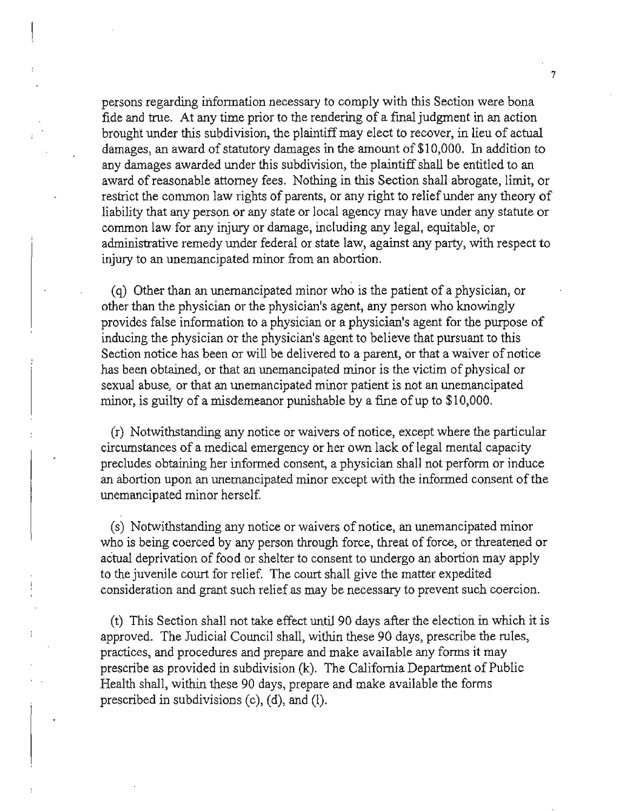persons regarding information necessary to comply with this Section were bona fide and true. At any time prior to the rendering of a final judgment in an action brought under this subdivision, the plaintiff may elect to recover, in lieu of actual damages, an award of statutory damages in the amount of  $$10,000$ . In addition to any damages awarded under this subdivision, the plaintiff shall be entitled to an award ofreasonable attorney fees. Nothing in this Section shall abrogate, limit, or restrict the common law rights of parents, or any right to relief under any theory of liability that any person or any state or local agency may have under any statute or common law for any injury or damage, including any legal, equitable, or administrative remedy under federal or state law, against any party, with respect to injury to an unemancipated minor from an abortion.

(q) Other than an unemancipated minor who is the patient of a physician, or other than the physician or the physician's agent, any person who knowingly provides false infonnation to a physician or a physician's agent for the purpose of inducing the physician or the physician's agent to believe that pursuant to this Section notice has been or will be delivered to a parent, or that a waiver of notice has been obtained, or that an unemancipated minor is the victim of physical or sexual abuse, or that an unemancipated minor patient is not an unemancipated minor, is guilty of a misdemeanor punishable by a fine of up to \$10,000.

(r) Notwithstanding any notice or waivers of notice, except where the particular circumstances of a medical emergency or her own lack of legal mental capacity precludes obtaining her infonned consent, a physician shall not perfonn or induce an abortion upon an unemancipated minor except with the informed consent of the unemancipated minor herself.

(s) Notwithstanding any notice or waivers of notice, an unemancipated minor who is being coerced by any person through force, threat of force, or threatened or actual deprivation of food or shelter to consent to undergo an abortion may apply to the juvenile court for relief. The court shall give the matter expedited **consideration and grant such relief as may be necessary to prevent such coercion.** 

(t) This Section shall not take effect until 90 days after the election in which it is approved. The Judicial Council shall, within these 90 days, prescribe the rules, practices, and procedures and prepare and make available any forms it may prescribe as provided in subdivision  $(k)$ . The California Department of Public Health shall, within these 90 days, prepare and make available the forms prescribed in subdivisions  $(c)$ ,  $(d)$ , and  $(l)$ .